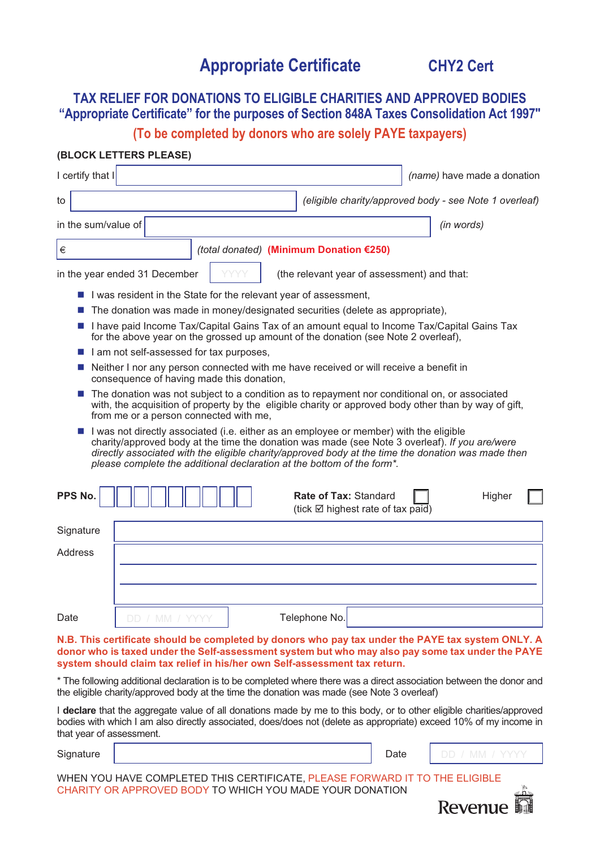# **Appropriate Certificate CHY2 Cert**

## **TAX RELIEF FOR DONATIONS TO ELIGIBLE CHARITIES AND APPROVED BODIES "Appropriate Certificate" for the purposes of Section 848A Taxes Consolidation Act 1997"**

**(To be completed by donors who are solely PAYE taxpayers)**

#### **(BLOCK LETTERS PLEASE)**

| I certify that I                                                                                                                                                                                                                                                                                                                                                         |          |  |                                                                                    | (name) have made a donation                                                                 |
|--------------------------------------------------------------------------------------------------------------------------------------------------------------------------------------------------------------------------------------------------------------------------------------------------------------------------------------------------------------------------|----------|--|------------------------------------------------------------------------------------|---------------------------------------------------------------------------------------------|
| to                                                                                                                                                                                                                                                                                                                                                                       |          |  |                                                                                    | (eligible charity/approved body - see Note 1 overleaf)                                      |
| in the sum/value of                                                                                                                                                                                                                                                                                                                                                      |          |  |                                                                                    | (in words)                                                                                  |
| €                                                                                                                                                                                                                                                                                                                                                                        |          |  | (total donated) (Minimum Donation €250)                                            |                                                                                             |
| in the year ended 31 December                                                                                                                                                                                                                                                                                                                                            |          |  | (the relevant year of assessment) and that:                                        |                                                                                             |
| I was resident in the State for the relevant year of assessment,                                                                                                                                                                                                                                                                                                         |          |  |                                                                                    |                                                                                             |
| The donation was made in money/designated securities (delete as appropriate),                                                                                                                                                                                                                                                                                            |          |  |                                                                                    |                                                                                             |
|                                                                                                                                                                                                                                                                                                                                                                          |          |  | for the above year on the grossed up amount of the donation (see Note 2 overleaf), | I have paid Income Tax/Capital Gains Tax of an amount equal to Income Tax/Capital Gains Tax |
| I am not self-assessed for tax purposes,                                                                                                                                                                                                                                                                                                                                 |          |  |                                                                                    |                                                                                             |
| Neither I nor any person connected with me have received or will receive a benefit in<br>consequence of having made this donation,                                                                                                                                                                                                                                       |          |  |                                                                                    |                                                                                             |
| The donation was not subject to a condition as to repayment nor conditional on, or associated<br>with, the acquisition of property by the eligible charity or approved body other than by way of gift,<br>from me or a person connected with me,                                                                                                                         |          |  |                                                                                    |                                                                                             |
| I was not directly associated (i.e. either as an employee or member) with the eligible<br>charity/approved body at the time the donation was made (see Note 3 overleaf). If you are/were<br>directly associated with the eligible charity/approved body at the time the donation was made then<br>please complete the additional declaration at the bottom of the form*. |          |  |                                                                                    |                                                                                             |
| PPS No.                                                                                                                                                                                                                                                                                                                                                                  |          |  | Rate of Tax: Standard<br>(tick $\boxtimes$ highest rate of tax paid)               | Higher                                                                                      |
| Signature                                                                                                                                                                                                                                                                                                                                                                |          |  |                                                                                    |                                                                                             |
| <b>Address</b>                                                                                                                                                                                                                                                                                                                                                           |          |  |                                                                                    |                                                                                             |
|                                                                                                                                                                                                                                                                                                                                                                          |          |  |                                                                                    |                                                                                             |
|                                                                                                                                                                                                                                                                                                                                                                          |          |  |                                                                                    |                                                                                             |
| Date<br>DD                                                                                                                                                                                                                                                                                                                                                               | / MM $/$ |  | Telephone No.                                                                      |                                                                                             |
|                                                                                                                                                                                                                                                                                                                                                                          |          |  |                                                                                    |                                                                                             |

**N.B. This certificate should be completed by donors who pay tax under the PAYE tax system ONLY. A donor who is taxed under the Self-assessment system but who may also pay some tax under the PAYE system should claim tax relief in his/her own Self-assessment tax return.**

\* The following additional declaration is to be completed where there was a direct association between the donor and the eligible charity/approved body at the time the donation was made (see Note 3 overleaf)

I **declare** that the aggregate value of all donations made by me to this body, or to other eligible charities/approved bodies with which I am also directly associated, does/does not (delete as appropriate) exceed 10% of my income in that year of assessment.

Signature | Date

WHEN YOU HAVE COMPLETED THIS CERTIFICATE, PLEASE FORWARD IT TO THE ELIGIBLE CHARITY OR APPROVED BODY TO WHICH YOU MADE YOUR DONATION